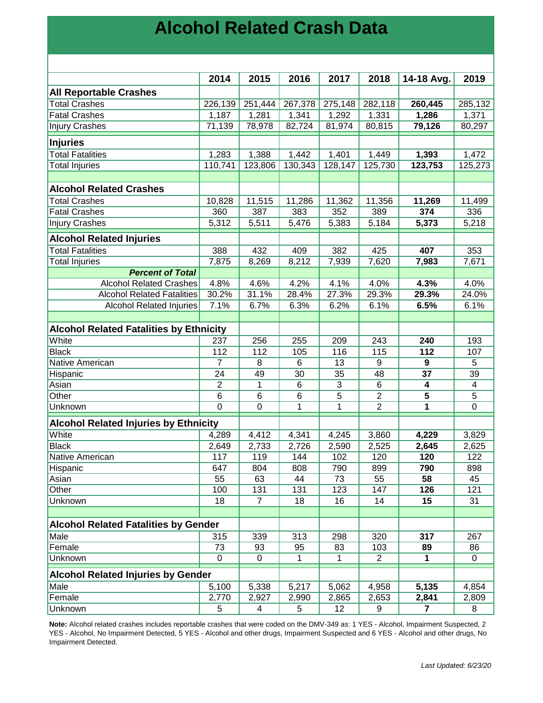## **Alcohol Related Crash Data**

|                                                | 2014           | 2015           | 2016            | 2017             | 2018           | 14-18 Avg.      | 2019            |
|------------------------------------------------|----------------|----------------|-----------------|------------------|----------------|-----------------|-----------------|
| <b>All Reportable Crashes</b>                  |                |                |                 |                  |                |                 |                 |
| <b>Total Crashes</b>                           | 226,139        | 251,444        | 267,378         | 275,148          | 282,118        | 260,445         | 285,132         |
| <b>Fatal Crashes</b>                           | 1,187          | 1,281          | 1,341           | 1,292            | 1,331          | 1,286           | 1,371           |
| <b>Injury Crashes</b>                          | 71,139         | 78,978         | 82,724          | 81,974           | 80,815         | 79,126          | 80,297          |
| Injuries                                       |                |                |                 |                  |                |                 |                 |
| <b>Total Fatalities</b>                        | 1,283          | 1,388          | 1,442           | 1,401            | 1,449          | 1,393           | 1,472           |
| <b>Total Injuries</b>                          | 110,741        | 123,806        | 130,343         | 128,147          | 125,730        | 123,753         | 125,273         |
|                                                |                |                |                 |                  |                |                 |                 |
| <b>Alcohol Related Crashes</b>                 |                |                |                 |                  |                |                 |                 |
| <b>Total Crashes</b>                           | 10,828         | 11,515         | 11,286          | 11,362           | 11,356         | 11,269          | 11,499          |
| <b>Fatal Crashes</b>                           | 360            | 387            | 383             | 352              | 389            | 374             | 336             |
| <b>Injury Crashes</b>                          | 5,312          | 5,511          | 5,476           | 5,383            | 5,184          | 5,373           | 5,218           |
| <b>Alcohol Related Injuries</b>                |                |                |                 |                  |                |                 |                 |
| <b>Total Fatalities</b>                        | 388            | 432            | 409             | 382              | 425            | 407             | 353             |
| Total Injuries                                 | 7,875          | 8,269          | 8,212           | 7,939            | 7,620          | 7,983           | 7,671           |
| <b>Percent of Total</b>                        |                |                |                 |                  |                |                 |                 |
| <b>Alcohol Related Crashes</b>                 | 4.8%           | 4.6%           | 4.2%            | 4.1%             | 4.0%           | 4.3%            | 4.0%            |
| <b>Alcohol Related Fatalities</b>              | 30.2%          | 31.1%          | 28.4%           | 27.3%            | 29.3%          | 29.3%           | 24.0%           |
| <b>Alcohol Related Injuries</b>                | 7.1%           | 6.7%           | 6.3%            | 6.2%             | 6.1%           | 6.5%            | 6.1%            |
|                                                |                |                |                 |                  |                |                 |                 |
| <b>Alcohol Related Fatalities by Ethnicity</b> |                |                |                 |                  |                |                 |                 |
| White                                          | 237            | 256            | 255             | $\overline{209}$ | 243            | 240             | 193             |
| <b>Black</b>                                   | 112            | 112            | 105             | 116              | 115            | 112             | 107             |
| Native American                                | $\overline{7}$ | 8              | 6               | 13               | 9              | 9               | 5               |
| Hispanic                                       | 24             | 49             | 30              | 35               | 48             | $\overline{37}$ | $\overline{39}$ |
| Asian                                          | $\overline{2}$ | 1              | $6\phantom{1}6$ | 3                | 6              | 4               | $\overline{4}$  |
| Other                                          | 6              | 6              | 6               | 5                | $\overline{c}$ | 5               | $\overline{5}$  |
| Unknown                                        | $\overline{0}$ | $\mathbf 0$    | $\mathbf{1}$    | $\mathbf{1}$     | $\overline{2}$ | 1               | $\mathbf 0$     |
| <b>Alcohol Related Injuries by Ethnicity</b>   |                |                |                 |                  |                |                 |                 |
| White                                          | 4,289          | 4,412          | 4,341           | 4,245            | 3,860          | 4,229           | 3,829           |
| <b>Black</b>                                   | 2,649          | 2,733          | 2,726           | 2,590            | 2,525          | 2,645           | 2,625           |
| Native American                                | 117            | 119            | 144             | 102              | 120            | 120             | 122             |
| Hispanic                                       | 647            | 804            | 808             | 790              | 899            | 790             | 898             |
| Asian                                          | 55             | 63             | 44              | 73               | 55             | 58              | 45              |
| Other                                          | 100            | 131            | 131             | 123              | 147            | 126             | 121             |
| Unknown                                        | 18             | $\overline{7}$ | 18              | 16               | 14             | 15              | 31              |
|                                                |                |                |                 |                  |                |                 |                 |
| <b>Alcohol Related Fatalities by Gender</b>    |                |                |                 |                  |                |                 |                 |
| Male                                           | 315            | 339            | 313             | 298              | 320            | 317             | 267             |
| Female                                         | 73             | 93             | 95              | 83               | 103            | 89              | 86              |
| Unknown                                        | $\mathbf 0$    | $\mathbf 0$    | 1               | 1                | $\overline{2}$ | 1               | 0               |
| <b>Alcohol Related Injuries by Gender</b>      |                |                |                 |                  |                |                 |                 |
| Male                                           | 5,100          | 5,338          | 5,217           | 5,062            | 4,958          | 5,135           | 4,854           |
| Female                                         | 2,770          | 2,927          | 2,990           | 2,865            | 2,653          | 2,841           | 2,809           |
| Unknown                                        | 5              | 4              | 5               | 12               | 9              | 7               | 8               |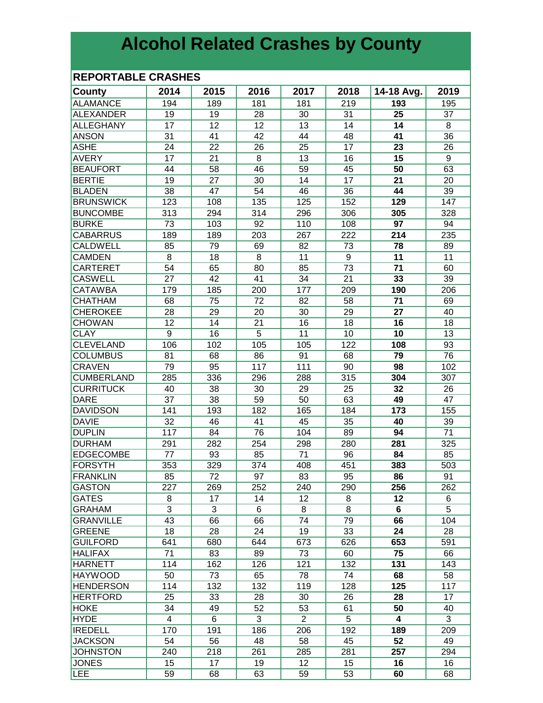# **Alcohol Related Crashes by County**

### **REPORTABLE CRASHES**

| County            | 2014           | 2015            | 2016            | 2017           | 2018            | 14-18 Avg.      | 2019           |
|-------------------|----------------|-----------------|-----------------|----------------|-----------------|-----------------|----------------|
| <b>ALAMANCE</b>   | 194            | 189             | 181             | 181            | 219             | 193             | 195            |
| <b>ALEXANDER</b>  | 19             | 19              | 28              | 30             | 31              | 25              | 37             |
| <b>ALLEGHANY</b>  | 17             | 12              | 12              | 13             | 14              | 14              | 8              |
| <b>ANSON</b>      | 31             | 41              | 42              | 44             | 48              | 41              | 36             |
| <b>ASHE</b>       | 24             | 22              | 26              | 25             | 17              | 23              | 26             |
| <b>AVERY</b>      | 17             | 21              | 8               | 13             | 16              | 15              | 9              |
| <b>BEAUFORT</b>   | 44             | 58              | 46              | 59             | 45              | 50              | 63             |
| <b>BERTIE</b>     | 19             | 27              | 30              | 14             | 17              | 21              | 20             |
| <b>BLADEN</b>     | 38             | 47              | 54              | 46             | 36              | 44              | 39             |
| <b>BRUNSWICK</b>  | 123            | 108             | 135             | 125            | 152             | 129             | 147            |
| <b>BUNCOMBE</b>   | 313            | 294             | 314             | 296            | 306             | 305             | 328            |
| <b>BURKE</b>      | 73             | 103             | 92              | 110            | 108             | 97              | 94             |
| <b>CABARRUS</b>   | 189            | 189             | 203             | 267            | 222             | 214             | 235            |
| <b>CALDWELL</b>   | 85             | 79              | 69              | 82             | 73              | 78              | 89             |
| <b>CAMDEN</b>     | 8              | 18              | 8               | 11             | 9               | 11              | 11             |
| <b>CARTERET</b>   | 54             | 65              | 80              | 85             | 73              | 71              | 60             |
| <b>CASWELL</b>    | 27             | 42              | 41              | 34             | $\overline{21}$ | 33              | 39             |
| <b>CATAWBA</b>    | 179            | 185             | 200             | 177            | 209             | 190             | 206            |
| <b>CHATHAM</b>    | 68             | $\overline{75}$ | $\overline{72}$ | 82             | 58              | $\overline{71}$ | 69             |
| <b>CHEROKEE</b>   | 28             | 29              | 20              | 30             | 29              | $\overline{27}$ | 40             |
| <b>CHOWAN</b>     | 12             | $\overline{14}$ | $\overline{21}$ | 16             | 18              | 16              | 18             |
| <b>CLAY</b>       | $\overline{9}$ | 16              | $\overline{5}$  | 11             | 10              | 10              | 13             |
| <b>CLEVELAND</b>  | 106            | 102             | 105             | 105            | 122             | 108             | 93             |
| <b>COLUMBUS</b>   | 81             | 68              | 86              | 91             | 68              | 79              | 76             |
| <b>CRAVEN</b>     | 79             | 95              | 117             | 111            | 90              | 98              | 102            |
| <b>CUMBERLAND</b> | 285            | 336             | 296             | 288            | 315             | 304             | 307            |
| <b>CURRITUCK</b>  | 40             | 38              | 30              | 29             | 25              | 32              | 26             |
| <b>DARE</b>       | 37             | 38              | 59              | 50             | 63              | 49              | 47             |
| <b>DAVIDSON</b>   | 141            | 193             | 182             | 165            | 184             | 173             | 155            |
| <b>DAVIE</b>      | 32             | 46              | 41              | 45             | 35              | 40              | 39             |
| <b>DUPLIN</b>     | 117            | 84              | 76              | 104            | 89              | 94              | 71             |
| <b>DURHAM</b>     | 291            | 282             | 254             | 298            | 280             | 281             | 325            |
| <b>EDGECOMBE</b>  | 77             | 93              | 85              | 71             | 96              | 84              | 85             |
| FORSYTH           | 353            | 329             | 374             | 408            | 451             | 383             | 503            |
| <b>FRANKLIN</b>   | 85             | 72              | 97              | 83             | 95              | 86              | 91             |
| <b>GASTON</b>     | 227            | 269             | 252             | 240            | 290             | 256             | 262            |
| <b>GATES</b>      | 8              | 17              | 14              | 12             | 8               | 12              | 6              |
| <b>GRAHAM</b>     | 3              | 3               | 6               | 8              | 8               | 6               | $\overline{5}$ |
| <b>GRANVILLE</b>  | 43             | 66              | 66              | 74             | 79              | 66              | 104            |
| <b>GREENE</b>     | 18             | 28              | 24              | 19             | 33              | 24              | 28             |
| <b>GUILFORD</b>   | 641            | 680             | 644             | 673            | 626             | 653             | 591            |
| <b>HALIFAX</b>    | 71             | 83              | 89              | 73             | 60              | 75              | 66             |
| HARNETT           | 114            | 162             | 126             | 121            | 132             | 131             | 143            |
| <b>HAYWOOD</b>    | 50             | 73              | 65              | 78             | 74              | 68              | 58             |
| <b>HENDERSON</b>  | 114            | 132             | 132             | 119            | 128             | 125             | 117            |
| HERTFORD          | 25             | 33              | 28              | 30             | 26              | 28              | 17             |
| <b>HOKE</b>       | 34             | 49              | 52              | 53             | 61              | 50              | 40             |
| <b>HYDE</b>       | 4              | 6               | 3               | $\overline{2}$ | 5               | 4               | 3              |
| <b>IREDELL</b>    | 170            | 191             | 186             | 206            | 192             | 189             | 209            |
| <b>JACKSON</b>    | 54             | 56              | 48              | 58             | 45              | 52              | 49             |
| <b>JOHNSTON</b>   | 240            | 218             | 261             | 285            | 281             | 257             | 294            |
| <b>JONES</b>      | 15             | 17              | 19              | 12             | 15              | 16              | 16             |
| LEE               | 59             | 68              | 63              | 59             | 53              | 60              | 68             |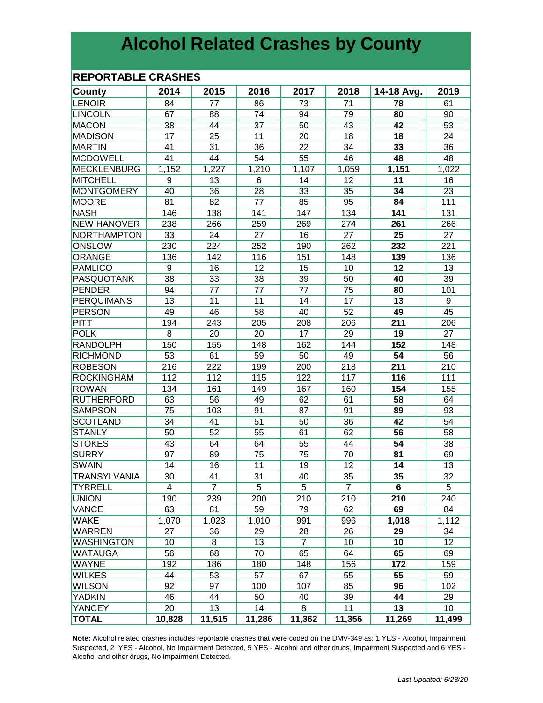## **Alcohol Related Crashes by County**

#### **REPORTABLE CRASHES**

| <b>County</b>       | 2014            | 2015            | 2016            | 2017            | 2018            | 14-18 Avg.      | 2019            |
|---------------------|-----------------|-----------------|-----------------|-----------------|-----------------|-----------------|-----------------|
| <b>LENOIR</b>       | 84              | 77              | 86              | 73              | 71              | 78              | 61              |
| <b>LINCOLN</b>      | 67              | 88              | 74              | 94              | 79              | 80              | 90              |
| <b>MACON</b>        | 38              | 44              | 37              | 50              | 43              | 42              | 53              |
| <b>MADISON</b>      | 17              | 25              | 11              | 20              | 18              | 18              | 24              |
| <b>MARTIN</b>       | 41              | 31              | 36              | 22              | 34              | 33              | 36              |
| <b>MCDOWELL</b>     | 41              | 44              | 54              | 55              | 46              | 48              | 48              |
| <b>MECKLENBURG</b>  | 1,152           | 1,227           | 1,210           | 1,107           | 1,059           | 1,151           | 1,022           |
| <b>MITCHELL</b>     | 9               | 13              | 6               | 14              | 12              | 11              | 16              |
| <b>MONTGOMERY</b>   | 40              | 36              | 28              | $\overline{33}$ | 35              | 34              | 23              |
| <b>MOORE</b>        | 81              | 82              | 77              | 85              | 95              | 84              | 111             |
| <b>NASH</b>         | 146             | 138             | 141             | 147             | 134             | 141             | 131             |
| <b>NEW HANOVER</b>  | 238             | 266             | 259             | 269             | 274             | 261             | 266             |
| NORTHAMPTON         | 33              | 24              | 27              | 16              | 27              | 25              | 27              |
| ONSLOW              | 230             | 224             | 252             | 190             | 262             | 232             | 221             |
| ORANGE              | 136             | 142             | 116             | 151             | 148             | 139             | 136             |
| <b>PAMLICO</b>      | 9               | 16              | 12              | 15              | 10              | 12              | 13              |
| <b>PASQUOTANK</b>   | $\overline{38}$ | $\overline{33}$ | $\overline{38}$ | 39              | $\overline{50}$ | 40              | $\overline{39}$ |
| <b>PENDER</b>       | 94              | 77              | 77              | $\overline{77}$ | 75              | 80              | 101             |
| <b>PERQUIMANS</b>   | $\overline{13}$ | $\overline{11}$ | $\overline{11}$ | 14              | $\overline{17}$ | $\overline{13}$ | 9               |
| <b>PERSON</b>       | 49              | 46              | 58              | 40              | 52              | 49              | 45              |
| <b>PITT</b>         | 194             | 243             | 205             | 208             | 206             | 211             | 206             |
| <b>POLK</b>         | 8               | 20              | 20              | 17              | 29              | 19              | 27              |
| <b>RANDOLPH</b>     | 150             | 155             | 148             | 162             | 144             | 152             | 148             |
| <b>RICHMOND</b>     | 53              | 61              | 59              | 50              | 49              | 54              | 56              |
| <b>ROBESON</b>      | 216             | 222             | 199             | 200             | 218             | 211             | 210             |
| <b>ROCKINGHAM</b>   | 112             | 112             | 115             | 122             | 117             | 116             | 111             |
| <b>ROWAN</b>        | 134             | 161             | 149             | 167             | 160             | 154             | 155             |
| <b>RUTHERFORD</b>   | 63              | 56              | 49              | 62              | 61              | 58              | 64              |
| <b>SAMPSON</b>      | 75              | 103             | 91              | 87              | 91              | 89              | 93              |
| <b>SCOTLAND</b>     | 34              | 41              | 51              | 50              | 36              | 42              | 54              |
| STANLY              | 50              | 52              | 55              | 61              | 62              | 56              | 58              |
| <b>STOKES</b>       | 43              | 64              | 64              | 55              | 44              | 54              | 38              |
| <b>SURRY</b>        | 97              | 89              | 75              | 75              | 70              | 81              | 69              |
| <b>SWAIN</b>        | 14              | 16              | 11              | 19              | 12              | 14              | 13              |
| <b>TRANSYLVANIA</b> | 30              | 41              | 31              | 40              | 35              | 35              | 32              |
| <b>TYRRELL</b>      | 4               | $\overline{7}$  | 5               | 5               | $\overline{7}$  | 6               | 5               |
| <b>UNION</b>        | 190             | 239             | 200             | 210             | 210             | 210             | 240             |
| VANCE               | 63              | 81              | 59              | 79              | 62              | 69              | 84              |
| <b>WAKE</b>         | 1,070           | 1,023           | 1,010           | 991             | 996             | 1,018           | 1,112           |
| <b>WARREN</b>       | 27              | 36              | 29              | 28              | 26              | 29              | 34              |
| <b>WASHINGTON</b>   | 10              | 8               | 13              | $\overline{7}$  | 10              | 10              | 12              |
| <b>WATAUGA</b>      | 56              | 68              | 70              | 65              | 64              | 65              | 69              |
| <b>WAYNE</b>        | 192             | 186             | 180             | 148             | 156             | 172             | 159             |
| <b>WILKES</b>       | 44              | 53              | 57              | 67              | 55              | 55              | 59              |
| <b>WILSON</b>       | 92              | 97              | 100             | 107             | 85              | 96              | 102             |
| YADKIN              | 46              | 44              | 50              | 40              | 39              | 44              | 29              |
| <b>YANCEY</b>       | 20              | 13              | 14              | 8               | 11              | 13              | 10              |
| <b>TOTAL</b>        | 10,828          | 11,515          | 11,286          | 11,362          | 11,356          | 11,269          | 11,499          |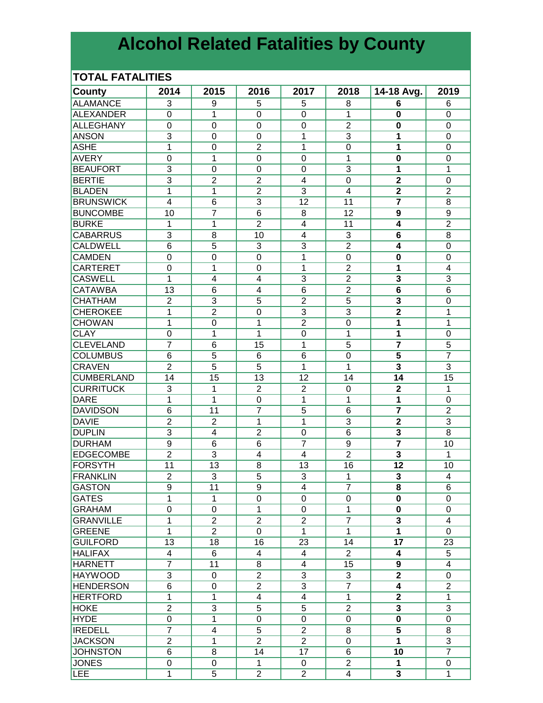# **Alcohol Related Fatalities by County**

#### **TOTAL FATALITIES**

| <b>County</b>     | 2014             | 2015           | 2016                    | 2017                    | 2018             | 14-18 Avg.              | 2019            |
|-------------------|------------------|----------------|-------------------------|-------------------------|------------------|-------------------------|-----------------|
| <b>ALAMANCE</b>   | 3                | 9              | 5                       | 5                       | 8                | 6                       | 6               |
| <b>ALEXANDER</b>  | $\Omega$         | 1              | $\Omega$                | $\Omega$                | 1                | 0                       | $\mathbf 0$     |
| <b>ALLEGHANY</b>  | $\mathbf 0$      | 0              | $\Omega$                | $\overline{0}$          | $\overline{2}$   | 0                       | $\mathbf 0$     |
| <b>ANSON</b>      | 3                | $\mathbf 0$    | 0                       | 1                       | 3                | 1                       | $\mathbf 0$     |
| <b>ASHE</b>       | $\mathbf 1$      | $\mathbf 0$    | $\overline{2}$          | 1                       | $\mathbf 0$      | 1                       | $\mathbf 0$     |
| <b>AVERY</b>      |                  |                | $\mathbf 0$             |                         |                  | $\mathbf 0$             |                 |
|                   | $\boldsymbol{0}$ | 1              |                         | 0                       | 1                |                         | 0               |
| <b>BEAUFORT</b>   | $\overline{3}$   | $\mathbf 0$    | $\mathbf 0$             | 0                       | 3                | 1                       | 1               |
| <b>BERTIE</b>     | 3                | $\overline{2}$ | $\overline{2}$          | 4                       | $\boldsymbol{0}$ | $\mathbf{2}$            | $\mathbf 0$     |
| <b>BLADEN</b>     | 1                | 1              | $\overline{2}$          | 3                       | $\overline{4}$   | $\overline{\mathbf{2}}$ | $\overline{2}$  |
| <b>BRUNSWICK</b>  | $\overline{4}$   | 6              | 3                       | 12                      | 11               | $\overline{7}$          | 8               |
| <b>BUNCOMBE</b>   | 10               | $\overline{7}$ | 6                       | 8                       | 12               | 9                       | 9               |
| <b>BURKE</b>      | 1                | 1              | $\overline{2}$          | $\overline{\mathbf{4}}$ | 11               | $\boldsymbol{4}$        | $\overline{2}$  |
| <b>CABARRUS</b>   | 3                | 8              | 10                      | $\overline{\mathbf{4}}$ | 3                | 6                       | 8               |
| <b>CALDWELL</b>   | 6                | 5              | 3                       | 3                       | $\overline{2}$   | $\boldsymbol{4}$        | $\mathbf 0$     |
| <b>CAMDEN</b>     | $\mathbf 0$      | 0              | $\overline{0}$          | 1                       | $\mathbf 0$      | $\bf{0}$                | $\mathbf 0$     |
| <b>CARTERET</b>   | $\mathbf 0$      | 1              | 0                       | 1                       | $\overline{2}$   | 1                       | 4               |
| <b>CASWELL</b>    | 1                | 4              | $\overline{\mathbf{4}}$ | $\overline{3}$          | $\overline{2}$   | $\overline{\mathbf{3}}$ | $\overline{3}$  |
| <b>CATAWBA</b>    | 13               | 6              | 4                       | $\overline{6}$          | $\overline{2}$   | 6                       | $\overline{6}$  |
| <b>CHATHAM</b>    | $\overline{2}$   | $\overline{3}$ | $\overline{5}$          | $\overline{2}$          | $\overline{5}$   | $\overline{\mathbf{3}}$ | 0               |
| <b>CHEROKEE</b>   | 1                | $\overline{2}$ | $\overline{0}$          | $\overline{3}$          | $\overline{3}$   | $\overline{2}$          | 1               |
| <b>CHOWAN</b>     | 1                | $\mathbf 0$    | 1                       | $\overline{2}$          | $\boldsymbol{0}$ | 1                       | 1               |
| <b>CLAY</b>       | $\mathbf 0$      | 1              | 1                       | $\mathbf 0$             | 1                | 1                       | 0               |
| <b>CLEVELAND</b>  | $\overline{7}$   | 6              | 15                      | 1                       | 5                | $\overline{\mathbf{z}}$ | 5               |
| <b>COLUMBUS</b>   | $6\phantom{1}6$  | 5              | 6                       | 6                       | $\mathbf 0$      | $\overline{\mathbf{5}}$ | $\overline{7}$  |
| <b>CRAVEN</b>     | $\overline{2}$   | 5              | 5                       | 1                       | 1                | 3                       | 3               |
| <b>CUMBERLAND</b> | 14               | 15             | 13                      | 12                      | 14               | 14                      | $\overline{15}$ |
| <b>CURRITUCK</b>  | 3                | $\mathbf{1}$   | $\overline{2}$          | $\overline{2}$          | 0                | $\mathbf 2$             | 1               |
| <b>DARE</b>       | 1                | 1              | $\Omega$                | 1                       | 1                | 1                       | 0               |
| <b>DAVIDSON</b>   | 6                | 11             | $\overline{7}$          | 5                       | 6                | $\overline{7}$          | $\overline{2}$  |
| <b>DAVIE</b>      | $\overline{2}$   | $\overline{2}$ | 1                       | 1                       | 3                | $\mathbf{2}$            | 3               |
| <b>DUPLIN</b>     | 3                | 4              | $\overline{2}$          | 0                       | 6                | 3                       | 8               |
| <b>DURHAM</b>     | $\boldsymbol{9}$ | 6              | 6                       | $\overline{7}$          | 9                | $\overline{7}$          | 10              |
| <b>EDGECOMBE</b>  | $\overline{2}$   | 3              | $\overline{4}$          | $\overline{4}$          | $\overline{2}$   | 3                       | 1               |
| FORSYTH           | 11               | 13             | 8                       | 13                      | 16               | 12                      | 10              |
| <b>FRANKLIN</b>   | $\overline{2}$   | 3              | 5                       | 3                       | 1                | 3                       | $\overline{4}$  |
|                   |                  |                |                         |                         |                  |                         |                 |
| GASTON            | 9                | 11             | 9                       | 4                       | 7                | 8                       | 6               |
| <b>GATES</b>      | 1                | 1              | 0                       | 0                       | 0                | $\mathbf 0$             | 0               |
| <b>GRAHAM</b>     | $\pmb{0}$        | 0              | 1                       | 0                       | 1                | $\mathbf 0$             | $\mathbf 0$     |
| <b>GRANVILLE</b>  | 1                | $\overline{c}$ | $\boldsymbol{2}$        | $\overline{2}$          | $\overline{7}$   | 3                       | 4               |
| <b>GREENE</b>     | 1                | $\overline{2}$ | $\mathbf 0$             | $\mathbf{1}$            | $\mathbf{1}$     | 1                       | 0               |
| <b>GUILFORD</b>   | 13               | 18             | 16                      | 23                      | 14               | 17                      | 23              |
| <b>HALIFAX</b>    | $\overline{4}$   | 6              | 4                       | 4                       | $\overline{2}$   | 4                       | 5               |
| <b>HARNETT</b>    | $\overline{7}$   | 11             | 8                       | 4                       | 15               | 9                       | 4               |
| <b>HAYWOOD</b>    | 3                | 0              | $\overline{2}$          | 3                       | 3                | $\overline{2}$          | $\Omega$        |
| <b>HENDERSON</b>  | 6                | 0              | $\overline{2}$          | 3                       | $\overline{7}$   | 4                       | $\overline{2}$  |
| <b>HERTFORD</b>   | 1                | $\mathbf{1}$   | $\overline{4}$          | $\overline{4}$          | 1                | $\mathbf 2$             | 1               |
| <b>HOKE</b>       | $\overline{2}$   | $\overline{3}$ | 5                       | 5                       | $\overline{2}$   | 3                       | 3               |
| <b>HYDE</b>       | 0                | $\overline{1}$ | $\mathbf 0$             | 0                       | $\mathbf 0$      | 0                       | $\mathbf 0$     |
| <b>IREDELL</b>    | $\overline{7}$   | 4              | 5                       | $\overline{2}$          | 8                | 5                       | 8               |
| <b>JACKSON</b>    | $\overline{2}$   | $\overline{1}$ | $\overline{2}$          | $\overline{2}$          | $\pmb{0}$        | 1                       | $\overline{3}$  |
| <b>JOHNSTON</b>   | 6                | 8              | 14                      | 17                      | 6                | 10                      | $\overline{7}$  |
| JONES             | $\mathbf 0$      | 0              | $\mathbf{1}$            | 0                       | $\overline{2}$   | 1                       | 0               |
| <b>LEE</b>        | 1                | 5              | $\overline{2}$          | $\overline{2}$          | $\overline{4}$   | 3                       | 1               |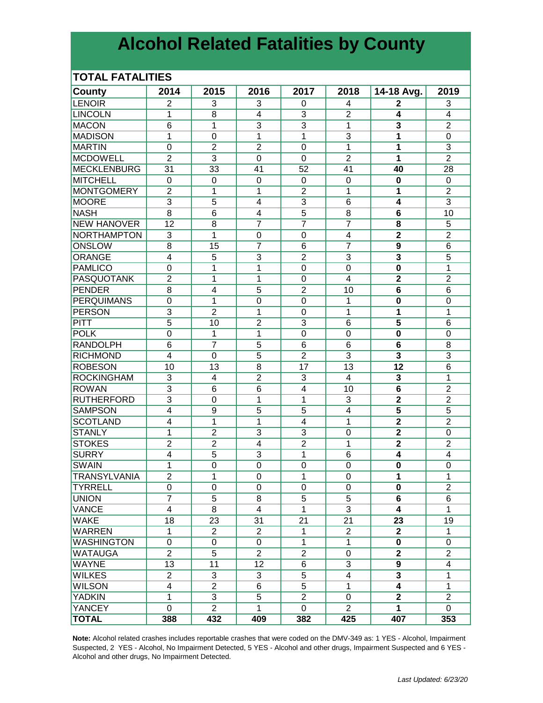## **Alcohol Related Fatalities by County**

#### **TOTAL FATALITIES**

| <b>County</b>       | 2014                             | 2015                             | 2016           | 2017           | 2018             | 14-18 Avg.                                | 2019                    |
|---------------------|----------------------------------|----------------------------------|----------------|----------------|------------------|-------------------------------------------|-------------------------|
| LENOIR              | $\overline{2}$                   | 3                                | 3              | 0              | 4                | 2                                         | 3                       |
| <b>LINCOLN</b>      | 1                                | 8                                | 4              | 3              | $\overline{2}$   | 4                                         | $\overline{4}$          |
| <b>MACON</b>        | 6                                | $\mathbf{1}$                     | $\overline{3}$ | 3              | $\mathbf{1}$     | 3                                         | $\overline{2}$          |
| <b>MADISON</b>      | 1                                | $\mathbf 0$                      | 1              | 1              | $\overline{3}$   | 1                                         | $\mathbf 0$             |
| <b>MARTIN</b>       | $\mathbf 0$                      | $\overline{2}$                   | $\overline{2}$ | $\mathbf 0$    | 1                | 1                                         | 3                       |
| <b>MCDOWELL</b>     | $\overline{2}$                   | 3                                | $\overline{0}$ | $\overline{0}$ | $\overline{2}$   | 1                                         | $\overline{2}$          |
| MECKLENBURG         | 31                               | 33                               | 41             | 52             | 41               | 40                                        | 28                      |
| MITCHELL            | $\mathbf 0$                      | $\mathbf 0$                      | $\overline{0}$ | 0              | $\mathbf 0$      | $\bf{0}$                                  | $\mathbf 0$             |
| <b>MONTGOMERY</b>   | $\overline{c}$                   | 1                                | 1              | $\overline{2}$ | 1                | 1                                         | $\overline{2}$          |
| <b>MOORE</b>        | $\overline{3}$                   | 5                                | $\overline{4}$ | $\overline{3}$ | 6                | $\overline{\mathbf{4}}$                   | $\overline{3}$          |
| <b>NASH</b>         | 8                                | 6                                | 4              | $\overline{5}$ | 8                | $6\phantom{1}$                            | 10                      |
| <b>NEW HANOVER</b>  | 12                               | 8                                | $\overline{7}$ | $\overline{7}$ | $\overline{7}$   | 8                                         | $\overline{5}$          |
| NORTHAMPTON         | 3                                | 1                                | 0              | $\mathbf 0$    | 4                | $\overline{2}$                            | $\overline{2}$          |
| ONSLOW              | 8                                | 15                               |                | 6              | $\overline{7}$   | $\overline{9}$                            | $\overline{6}$          |
| ORANGE              | 4                                | 5                                | 3              | $\overline{2}$ | 3                | 3                                         | 5                       |
| PAMLICO             | $\mathbf 0$                      | 1                                | 1              | $\mathbf 0$    | $\mathbf 0$      | $\mathbf 0$                               | 1                       |
| <b>PASQUOTANK</b>   | $\overline{2}$                   | 1                                | 1              | $\mathbf 0$    | 4                | $\overline{2}$                            | $\overline{2}$          |
| <b>PENDER</b>       | $\overline{8}$                   | 4                                | $\overline{5}$ | $\overline{2}$ | 10               | $\overline{6}$                            | $\overline{6}$          |
| <b>PERQUIMANS</b>   | $\mathbf 0$                      | 1                                | 0              | 0              | $\mathbf{1}$     | 0                                         | $\mathbf 0$             |
| PERSON              | $\overline{3}$                   | $\overline{2}$                   | 1              | 0              | 1                | 1                                         | 1                       |
| <b>PITT</b>         | $\overline{5}$                   | 10                               | $\overline{2}$ | 3              | 6                | 5                                         | 6                       |
| <b>POLK</b>         | $\mathbf 0$                      | $\mathbf{1}$                     | 1              | $\mathbf 0$    | $\mathbf 0$      | 0                                         | $\mathbf 0$             |
| <b>RANDOLPH</b>     | 6                                | $\overline{7}$                   | 5              | 6              | 6                | 6                                         | 8                       |
| <b>RICHMOND</b>     | 4                                | $\Omega$                         | 5              | $\overline{2}$ | 3                | 3                                         | 3                       |
| <b>ROBESON</b>      | 10                               | 13                               | 8              | 17             | 13               | 12                                        | $6\phantom{1}6$         |
| <b>ROCKINGHAM</b>   | 3                                | 4                                | $\overline{2}$ | 3              | 4                | 3                                         | 1                       |
| <b>ROWAN</b>        | 3                                | 6                                | 6              | $\overline{4}$ | 10               | $6\phantom{1}$                            | $\overline{2}$          |
| <b>RUTHERFORD</b>   | 3                                | 0                                | 1              | 1              | 3                | $\overline{2}$                            | $\overline{2}$          |
| <b>SAMPSON</b>      | $\overline{\mathbf{4}}$          | 9                                | $\overline{5}$ | $\overline{5}$ | $\overline{4}$   | $\overline{\mathbf{5}}$                   | $\overline{5}$          |
| <b>SCOTLAND</b>     | 4                                | $\mathbf{1}$                     | 1              | $\overline{4}$ | 1                | $\overline{2}$                            | $\overline{2}$          |
|                     | 1                                | $\overline{2}$                   | 3              | 3              |                  | $\overline{2}$                            | $\mathbf 0$             |
| <b>STANLY</b>       |                                  |                                  | $\overline{4}$ | $\overline{2}$ | 0                |                                           | $\overline{2}$          |
| <b>STOKES</b>       | $\overline{c}$<br>$\overline{4}$ | $\overline{2}$<br>$\overline{5}$ |                |                | 1                | $\overline{\mathbf{2}}$<br>$\overline{4}$ |                         |
| <b>SURRY</b>        |                                  |                                  | 3              | 1              | 6                |                                           | $\overline{\mathbf{4}}$ |
| <b>SWAIN</b>        | 1                                | $\mathbf 0$                      | $\mathbf 0$    | $\mathbf 0$    | $\boldsymbol{0}$ | $\mathbf 0$                               | $\mathbf 0$             |
| <b>TRANSYLVANIA</b> | $\overline{2}$                   | 1                                | 0              | 1              | $\overline{0}$   | 1                                         | 1                       |
| TYRRELL             | 0                                | 0                                | 0              | 0              | 0                | 0                                         | $\overline{2}$          |
| <b>UNION</b>        | $\overline{7}$                   | 5                                | 8              | 5              | 5                | 6                                         | 6                       |
| <b>VANCE</b>        | 4                                | 8                                | 4              | 1              | 3                | 4                                         | 1                       |
| <b>WAKE</b>         | 18                               | 23                               | 31             | 21             | 21               | 23                                        | 19                      |
| <b>WARREN</b>       | $\mathbf{1}$                     | $\overline{2}$                   | $\overline{2}$ | $\mathbf{1}$   | $\overline{2}$   | $\mathbf{2}$                              | $\mathbf{1}$            |
| <b>WASHINGTON</b>   | 0                                | $\mathbf 0$                      | 0              | $\mathbf{1}$   | $\mathbf{1}$     | $\mathbf 0$                               | $\mathbf 0$             |
| WATAUGA             | $\overline{2}$                   | 5                                | $\overline{2}$ | $\overline{2}$ | $\boldsymbol{0}$ | $\mathbf 2$                               | $\overline{2}$          |
| <b>WAYNE</b>        | 13                               | 11                               | 12             | 6              | 3                | 9                                         | $\overline{4}$          |
| <b>WILKES</b>       | $\overline{2}$                   | 3                                | 3              | 5              | 4                | 3                                         | 1                       |
| <b>WILSON</b>       | 4                                | $\overline{2}$                   | 6              | $\overline{5}$ | $\mathbf{1}$     | $\overline{\mathbf{4}}$                   | 1                       |
| <b>YADKIN</b>       | 1                                | $\overline{3}$                   | $\overline{5}$ | $\overline{2}$ | $\mathbf 0$      | $\overline{2}$                            | $\overline{2}$          |
| <b>YANCEY</b>       | $\mathbf 0$                      | $\overline{2}$                   | 1              | $\mathbf 0$    | $\overline{2}$   | $\overline{1}$                            | $\mathbf 0$             |
| <b>TOTAL</b>        | 388                              | 432                              | 409            | 382            | 425              | 407                                       | 353                     |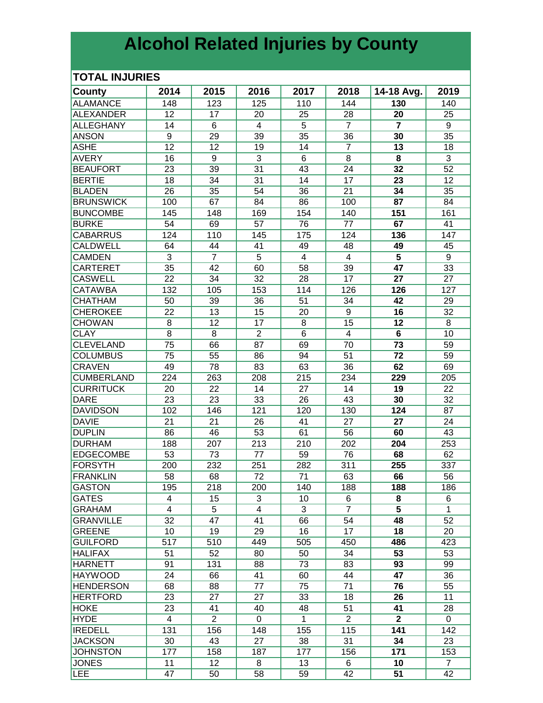# **Alcohol Related Injuries by County**

### **TOTAL INJURIES**

| <b>County</b>     | 2014           | 2015            | 2016            | 2017           | 2018           | 14-18 Avg.      | 2019           |
|-------------------|----------------|-----------------|-----------------|----------------|----------------|-----------------|----------------|
| <b>ALAMANCE</b>   | 148            | 123             | 125             | 110            | 144            | 130             | 140            |
| <b>ALEXANDER</b>  | 12             | 17              | 20              | 25             | 28             | 20              | 25             |
| <b>ALLEGHANY</b>  | 14             | 6               | $\overline{4}$  | 5              | $\overline{7}$ | $\overline{7}$  | 9              |
| <b>ANSON</b>      | 9              | 29              | 39              | 35             | 36             | 30              | 35             |
| <b>ASHE</b>       | 12             | 12              | 19              | 14             | $\overline{7}$ | 13              | 18             |
| <b>AVERY</b>      | 16             | 9               | $\overline{3}$  | 6              | 8              | 8               | 3              |
| <b>BEAUFORT</b>   | 23             | 39              | 31              | 43             | 24             | 32              | 52             |
| <b>BERTIE</b>     | 18             | 34              | 31              | 14             | 17             | 23              | 12             |
| <b>BLADEN</b>     | 26             | 35              | 54              | 36             | 21             | 34              | 35             |
| <b>BRUNSWICK</b>  | 100            | 67              | 84              | 86             | 100            | 87              | 84             |
| <b>BUNCOMBE</b>   | 145            | 148             | 169             | 154            | 140            | 151             | 161            |
| <b>BURKE</b>      | 54             | 69              | 57              | 76             | 77             | 67              | 41             |
| <b>CABARRUS</b>   | 124            | 110             | 145             | 175            | 124            | 136             | 147            |
| <b>CALDWELL</b>   | 64             | 44              | 41              | 49             | 48             | 49              | 45             |
| <b>CAMDEN</b>     | 3              | $\overline{7}$  | 5               | $\overline{4}$ | $\overline{4}$ | 5               | 9              |
| <b>CARTERET</b>   | 35             | 42              | 60              | 58             | 39             | 47              | 33             |
| <b>CASWELL</b>    | 22             | 34              | 32              | 28             | 17             | 27              | 27             |
| <b>CATAWBA</b>    | 132            | 105             | 153             | 114            | 126            | 126             | 127            |
| <b>CHATHAM</b>    | 50             | 39              | 36              | 51             | 34             | 42              | 29             |
| <b>CHEROKEE</b>   | 22             | 13              | 15              | 20             | 9              | 16              | 32             |
| <b>CHOWAN</b>     | 8              | $\overline{12}$ | $\overline{17}$ | 8              | 15             | $\overline{12}$ | 8              |
| <b>CLAY</b>       | $\overline{8}$ | $\overline{8}$  | $\overline{2}$  | $\overline{6}$ | $\overline{4}$ | $\overline{6}$  | 10             |
| <b>CLEVELAND</b>  | 75             | 66              | 87              | 69             | 70             | 73              | 59             |
| <b>COLUMBUS</b>   | 75             | 55              | 86              | 94             | 51             | 72              | 59             |
| <b>CRAVEN</b>     | 49             | 78              | 83              | 63             | 36             | 62              | 69             |
| <b>CUMBERLAND</b> | 224            | 263             | 208             | 215            | 234            | 229             | 205            |
| <b>CURRITUCK</b>  | 20             | 22              | 14              | 27             | 14             | 19              | 22             |
| <b>DARE</b>       | 23             | 23              | 33              | 26             | 43             | 30              | 32             |
| <b>DAVIDSON</b>   | 102            | 146             | 121             | 120            | 130            | 124             | 87             |
| <b>DAVIE</b>      | 21             | 21              | 26              | 41             | 27             | 27              | 24             |
| <b>DUPLIN</b>     | 86             | 46              | 53              | 61             | 56             | 60              | 43             |
| <b>DURHAM</b>     | 188            | 207             | 213             | 210            | 202            | 204             | 253            |
| <b>EDGECOMBE</b>  | 53             | 73              | 77              | 59             | 76             | 68              | 62             |
| FORSYTH           | 200            | 232             | 251             | 282            | 311            | 255             | 337            |
| <b>FRANKLIN</b>   | 58             | 68              | 72              | 71             | 63             | 66              | 56             |
| GASTON            | 195            | 218             | 200             | 140            | 188            | 188             | 186            |
| <b>GATES</b>      | 4              | 15              | 3               | 10             | 6              | 8               | 6              |
| GRAHAM            | 4              | 5               | $\overline{4}$  | 3              | $\overline{7}$ | 5               | $\mathbf{1}$   |
| <b>GRANVILLE</b>  | 32             | 47              | 41              | 66             | 54             | 48              | 52             |
| <b>GREENE</b>     | 10             | 19              | 29              | 16             | 17             | 18              | 20             |
| <b>GUILFORD</b>   | 517            | 510             | 449             | 505            | 450            | 486             | 423            |
| <b>HALIFAX</b>    | 51             | 52              | 80              | 50             | 34             | 53              | 53             |
| <b>HARNETT</b>    | 91             | 131             | 88              | 73             | 83             | 93              | 99             |
| <b>HAYWOOD</b>    | 24             | 66              | 41              | 60             | 44             | 47              | 36             |
| <b>HENDERSON</b>  | 68             | 88              | 77              | 75             | 71             | 76              | 55             |
| HERTFORD          | 23             | 27              | 27              | 33             | 18             | 26              | 11             |
| <b>HOKE</b>       | 23             | 41              | 40              | 48             | 51             | 41              | 28             |
| <b>HYDE</b>       | 4              | $\overline{2}$  | 0               | $\mathbf{1}$   | $\overline{2}$ | $\mathbf{2}$    | 0              |
| <b>IREDELL</b>    | 131            | 156             | 148             | 155            | 115            | 141             | 142            |
| <b>JACKSON</b>    | 30             | 43              | 27              | 38             | 31             | 34              | 23             |
| <b>JOHNSTON</b>   | 177            | 158             | 187             | 177            | 156            | 171             | 153            |
| <b>JONES</b>      | 11             | 12 <sub>2</sub> | 8               | 13             | 6              | 10              | $\overline{7}$ |
| LEE               | 47             | 50              | 58              | 59             | 42             | 51              | 42             |
|                   |                |                 |                 |                |                |                 |                |